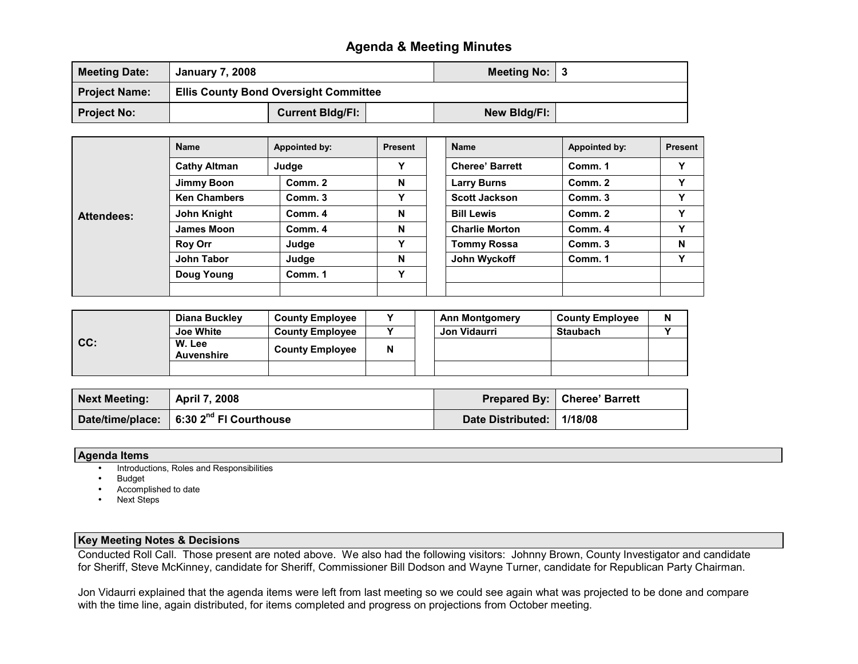## Agenda & Meeting Minutes

| <b>Meeting Date:</b> | <b>January 7, 2008</b>                       |  | <b>Meeting No:</b> |  |  |
|----------------------|----------------------------------------------|--|--------------------|--|--|
| <b>Project Name:</b> | <b>Ellis County Bond Oversight Committee</b> |  |                    |  |  |
| <b>Project No:</b>   | <b>Current Bidg/Fi:</b>                      |  | New Bldg/FI:       |  |  |

|                   | <b>Name</b>         | Appointed by: | <b>Present</b> | <b>Name</b>            | Appointed by: | <b>Present</b> |
|-------------------|---------------------|---------------|----------------|------------------------|---------------|----------------|
| <b>Attendees:</b> | <b>Cathy Altman</b> | Judge         |                | <b>Cheree' Barrett</b> | Comm. 1       | v              |
|                   | Jimmy Boon          | Comm. 2       | N              | <b>Larry Burns</b>     | Comm. 2       | v              |
|                   | <b>Ken Chambers</b> | Comm. 3       | v              | <b>Scott Jackson</b>   | Comm. 3       | v              |
|                   | John Knight         | Comm. 4       | N              | <b>Bill Lewis</b>      | Comm. 2       | v              |
|                   | James Moon          | Comm. 4       | N              | <b>Charlie Morton</b>  | Comm. 4       | v              |
|                   | <b>Roy Orr</b>      | Judge         | v              | <b>Tommy Rossa</b>     | Comm. 3       | N              |
|                   | John Tabor          | Judge         | N              | John Wyckoff           | Comm. 1       | Y              |
|                   | Doug Young          | Comm. 1       | v              |                        |               |                |
|                   |                     |               |                |                        |               |                |

| CC: | Diana Buckley               | <b>County Employee</b> |   | <b>Ann Montgomery</b> | <b>County Employee</b> | N |
|-----|-----------------------------|------------------------|---|-----------------------|------------------------|---|
|     | <b>Joe White</b>            | <b>County Employee</b> |   | Jon Vidaurri          | <b>Staubach</b>        |   |
|     | W. Lee<br><b>Auvenshire</b> | <b>County Employee</b> | N |                       |                        |   |
|     |                             |                        |   |                       |                        |   |

| <b>Next Meeting:</b> | April 7, 2008                                       |                             | Prepared By:   Cheree' Barrett |
|----------------------|-----------------------------------------------------|-----------------------------|--------------------------------|
|                      | Date/time/place: 6:30 2 <sup>nd</sup> FI Courthouse | Date Distributed:   1/18/08 |                                |

## Agenda Items

- Introductions, Roles and Responsibilities
- **Budget**
- Accomplished to date
- **Next Steps**

## Key Meeting Notes & Decisions

Conducted Roll Call. Those present are noted above. We also had the following visitors: Johnny Brown, County Investigator and candidate for Sheriff, Steve McKinney, candidate for Sheriff, Commissioner Bill Dodson and Wayne Turner, candidate for Republican Party Chairman.

Jon Vidaurri explained that the agenda items were left from last meeting so we could see again what was projected to be done and compare with the time line, again distributed, for items completed and progress on projections from October meeting.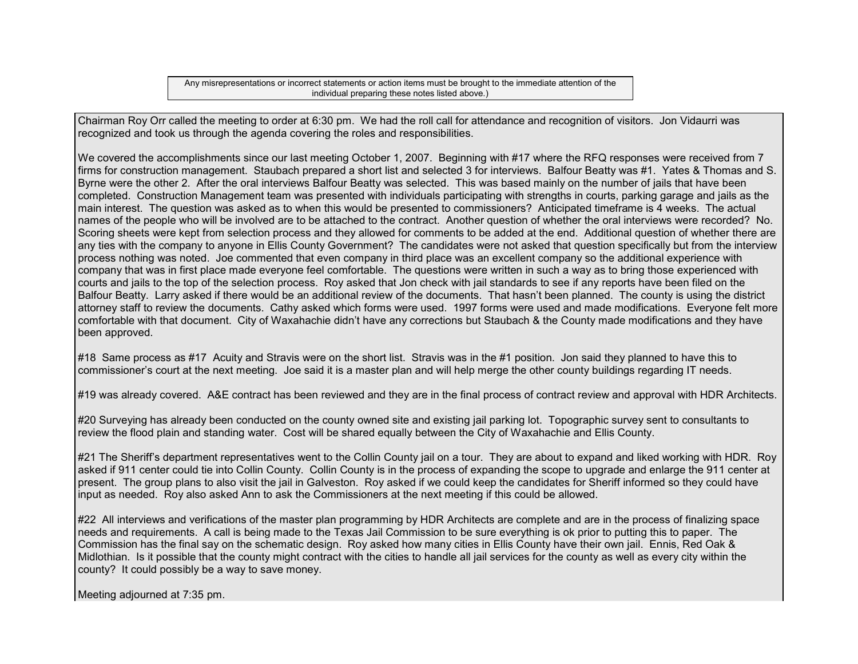Any misrepresentations or incorrect statements or action items must be brought to the immediate attention of the individual preparing these notes listed above.)

Chairman Roy Orr called the meeting to order at 6:30 pm. We had the roll call for attendance and recognition of visitors. Jon Vidaurri was recognized and took us through the agenda covering the roles and responsibilities.

We covered the accomplishments since our last meeting October 1, 2007. Beginning with #17 where the RFQ responses were received from 7 firms for construction management. Staubach prepared a short list and selected 3 for interviews. Balfour Beatty was #1. Yates & Thomas and S. Byrne were the other 2. After the oral interviews Balfour Beatty was selected. This was based mainly on the number of jails that have been completed. Construction Management team was presented with individuals participating with strengths in courts, parking garage and jails as the main interest. The question was asked as to when this would be presented to commissioners? Anticipated timeframe is 4 weeks. The actual names of the people who will be involved are to be attached to the contract. Another question of whether the oral interviews were recorded? No. Scoring sheets were kept from selection process and they allowed for comments to be added at the end. Additional question of whether there are any ties with the company to anyone in Ellis County Government? The candidates were not asked that question specifically but from the interview process nothing was noted. Joe commented that even company in third place was an excellent company so the additional experience with company that was in first place made everyone feel comfortable. The questions were written in such a way as to bring those experienced with courts and jails to the top of the selection process. Roy asked that Jon check with jail standards to see if any reports have been filed on the Balfour Beatty. Larry asked if there would be an additional review of the documents. That hasn't been planned. The county is using the district attorney staff to review the documents. Cathy asked which forms were used. 1997 forms were used and made modifications. Everyone felt more comfortable with that document. City of Waxahachie didn't have any corrections but Staubach & the County made modifications and they have been approved.

#18 Same process as #17 Acuity and Stravis were on the short list. Stravis was in the #1 position. Jon said they planned to have this to commissioner's court at the next meeting. Joe said it is a master plan and will help merge the other county buildings regarding IT needs.

#19 was already covered. A&E contract has been reviewed and they are in the final process of contract review and approval with HDR Architects.

#20 Surveying has already been conducted on the county owned site and existing jail parking lot. Topographic survey sent to consultants to review the flood plain and standing water. Cost will be shared equally between the City of Waxahachie and Ellis County.

#21 The Sheriff's department representatives went to the Collin County jail on a tour. They are about to expand and liked working with HDR. Roy asked if 911 center could tie into Collin County. Collin County is in the process of expanding the scope to upgrade and enlarge the 911 center at present. The group plans to also visit the jail in Galveston. Roy asked if we could keep the candidates for Sheriff informed so they could have input as needed. Roy also asked Ann to ask the Commissioners at the next meeting if this could be allowed.

#22 All interviews and verifications of the master plan programming by HDR Architects are complete and are in the process of finalizing space needs and requirements. A call is being made to the Texas Jail Commission to be sure everything is ok prior to putting this to paper. The Commission has the final say on the schematic design. Roy asked how many cities in Ellis County have their own jail. Ennis, Red Oak & Midlothian. Is it possible that the county might contract with the cities to handle all jail services for the county as well as every city within the county? It could possibly be a way to save money.

Meeting adjourned at 7:35 pm.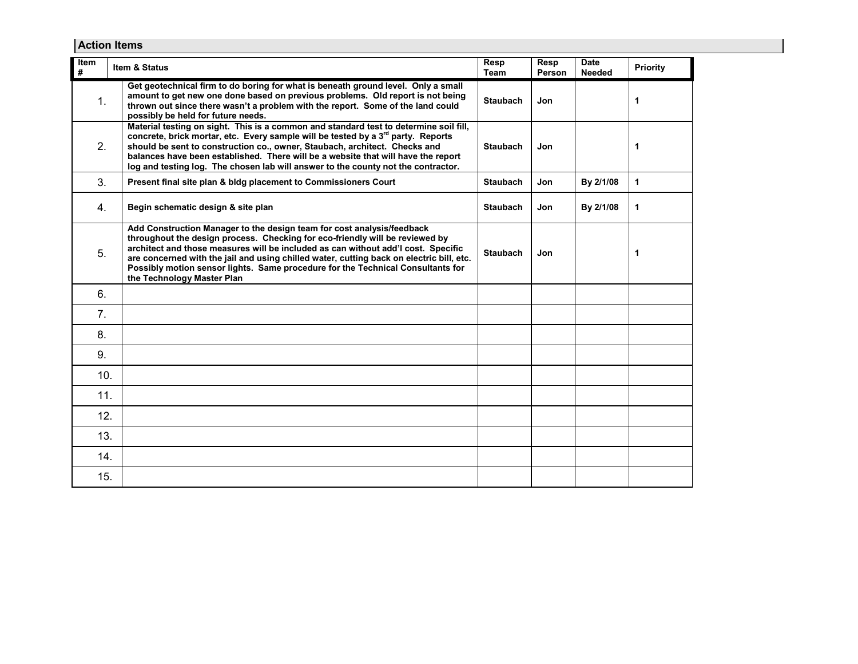| <b>Action Items</b> |                                                                                                                                                                                                                                                                                                                                                                                                                                                          |                 |                |                              |              |  |  |
|---------------------|----------------------------------------------------------------------------------------------------------------------------------------------------------------------------------------------------------------------------------------------------------------------------------------------------------------------------------------------------------------------------------------------------------------------------------------------------------|-----------------|----------------|------------------------------|--------------|--|--|
| Item<br>#           | Item & Status                                                                                                                                                                                                                                                                                                                                                                                                                                            | Resp<br>Team    | Resp<br>Person | <b>Date</b><br><b>Needed</b> | Priority     |  |  |
| 1.                  | Get geotechnical firm to do boring for what is beneath ground level. Only a small<br>amount to get new one done based on previous problems. Old report is not being<br>thrown out since there wasn't a problem with the report. Some of the land could<br>possibly be held for future needs.                                                                                                                                                             | <b>Staubach</b> | Jon            |                              | $\mathbf{1}$ |  |  |
| 2.                  | Material testing on sight. This is a common and standard test to determine soil fill,<br>concrete, brick mortar, etc. Every sample will be tested by a 3 <sup>rd</sup> party. Reports<br>should be sent to construction co., owner, Staubach, architect. Checks and<br>balances have been established. There will be a website that will have the report<br>log and testing log. The chosen lab will answer to the county not the contractor.            | <b>Staubach</b> | Jon            |                              | 1            |  |  |
| 3.                  | Present final site plan & bldg placement to Commissioners Court                                                                                                                                                                                                                                                                                                                                                                                          | <b>Staubach</b> | Jon            | By 2/1/08                    | 1            |  |  |
| 4 <sub>1</sub>      | Begin schematic design & site plan                                                                                                                                                                                                                                                                                                                                                                                                                       | <b>Staubach</b> | Jon            | By 2/1/08                    | $\mathbf{1}$ |  |  |
| 5.                  | Add Construction Manager to the design team for cost analysis/feedback<br>throughout the design process. Checking for eco-friendly will be reviewed by<br>architect and those measures will be included as can without add'l cost. Specific<br>are concerned with the jail and using chilled water, cutting back on electric bill, etc.<br>Possibly motion sensor lights. Same procedure for the Technical Consultants for<br>the Technology Master Plan | <b>Staubach</b> | Jon            |                              | $\mathbf 1$  |  |  |
| 6.                  |                                                                                                                                                                                                                                                                                                                                                                                                                                                          |                 |                |                              |              |  |  |
| 7.                  |                                                                                                                                                                                                                                                                                                                                                                                                                                                          |                 |                |                              |              |  |  |
| 8.                  |                                                                                                                                                                                                                                                                                                                                                                                                                                                          |                 |                |                              |              |  |  |
| 9.                  |                                                                                                                                                                                                                                                                                                                                                                                                                                                          |                 |                |                              |              |  |  |
| 10.                 |                                                                                                                                                                                                                                                                                                                                                                                                                                                          |                 |                |                              |              |  |  |
| 11.                 |                                                                                                                                                                                                                                                                                                                                                                                                                                                          |                 |                |                              |              |  |  |
| 12.                 |                                                                                                                                                                                                                                                                                                                                                                                                                                                          |                 |                |                              |              |  |  |
| 13.                 |                                                                                                                                                                                                                                                                                                                                                                                                                                                          |                 |                |                              |              |  |  |
| 14.                 |                                                                                                                                                                                                                                                                                                                                                                                                                                                          |                 |                |                              |              |  |  |
| 15.                 |                                                                                                                                                                                                                                                                                                                                                                                                                                                          |                 |                |                              |              |  |  |